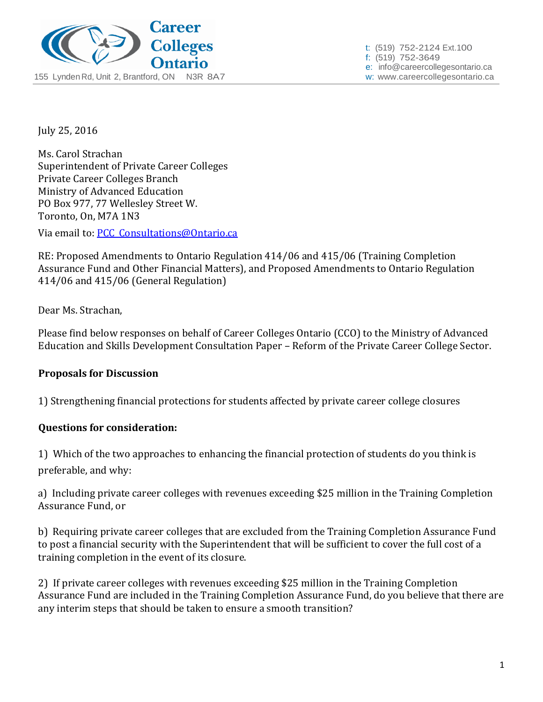

t: (519) 752-2124 Ext.100 f: (519) 752-3649 e: info@careercollegesontario.ca

July 25, 2016

Ms. Carol Strachan Superintendent of Private Career Colleges Private Career Colleges Branch Ministry of Advanced Education PO Box 977, 77 Wellesley Street W. Toronto, On, M7A 1N3

Via email to: [PCC\\_Consultations@Ontario.ca](mailto:PCC_Consultations@Ontario.ca)

RE: Proposed Amendments to Ontario Regulation 414/06 and 415/06 (Training Completion Assurance Fund and Other Financial Matters), and Proposed Amendments to Ontario Regulation 414/06 and 415/06 (General Regulation)

Dear Ms. Strachan,

Please find below responses on behalf of Career Colleges Ontario (CCO) to the Ministry of Advanced Education and Skills Development Consultation Paper – Reform of the Private Career College Sector.

### **Proposals for Discussion**

1) Strengthening financial protections for students affected by private career college closures

### **Questions for consideration:**

1) Which of the two approaches to enhancing the financial protection of students do you think is preferable, and why:

a) Including private career colleges with revenues exceeding \$25 million in the Training Completion Assurance Fund, or

b) Requiring private career colleges that are excluded from the Training Completion Assurance Fund to post a financial security with the Superintendent that will be sufficient to cover the full cost of a training completion in the event of its closure.

2) If private career colleges with revenues exceeding \$25 million in the Training Completion Assurance Fund are included in the Training Completion Assurance Fund, do you believe that there are any interim steps that should be taken to ensure a smooth transition?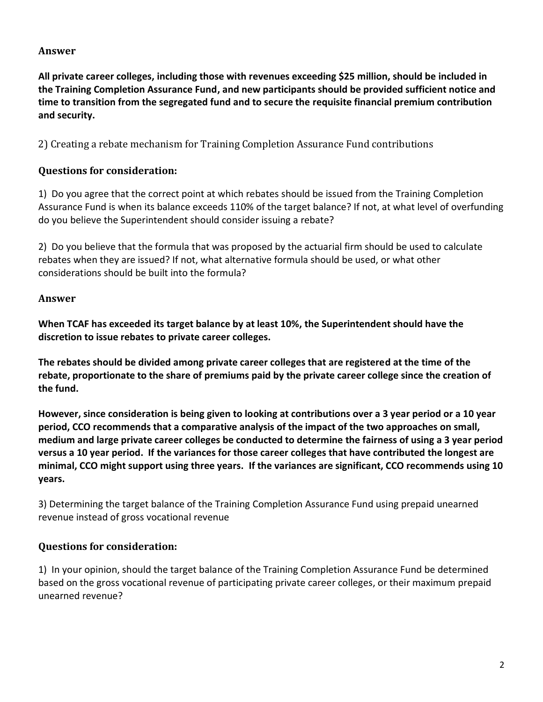## **Answer**

**All private career colleges, including those with revenues exceeding \$25 million, should be included in the Training Completion Assurance Fund, and new participants should be provided sufficient notice and time to transition from the segregated fund and to secure the requisite financial premium contribution and security.**

2) Creating a rebate mechanism for Training Completion Assurance Fund contributions

## **Questions for consideration:**

1) Do you agree that the correct point at which rebates should be issued from the Training Completion Assurance Fund is when its balance exceeds 110% of the target balance? If not, at what level of overfunding do you believe the Superintendent should consider issuing a rebate?

2) Do you believe that the formula that was proposed by the actuarial firm should be used to calculate rebates when they are issued? If not, what alternative formula should be used, or what other considerations should be built into the formula?

## **Answer**

**When TCAF has exceeded its target balance by at least 10%, the Superintendent should have the discretion to issue rebates to private career colleges.**

**The rebates should be divided among private career colleges that are registered at the time of the rebate, proportionate to the share of premiums paid by the private career college since the creation of the fund.**

**However, since consideration is being given to looking at contributions over a 3 year period or a 10 year period, CCO recommends that a comparative analysis of the impact of the two approaches on small, medium and large private career colleges be conducted to determine the fairness of using a 3 year period versus a 10 year period. If the variances for those career colleges that have contributed the longest are minimal, CCO might support using three years. If the variances are significant, CCO recommends using 10 years.**

3) Determining the target balance of the Training Completion Assurance Fund using prepaid unearned revenue instead of gross vocational revenue

### **Questions for consideration:**

1) In your opinion, should the target balance of the Training Completion Assurance Fund be determined based on the gross vocational revenue of participating private career colleges, or their maximum prepaid unearned revenue?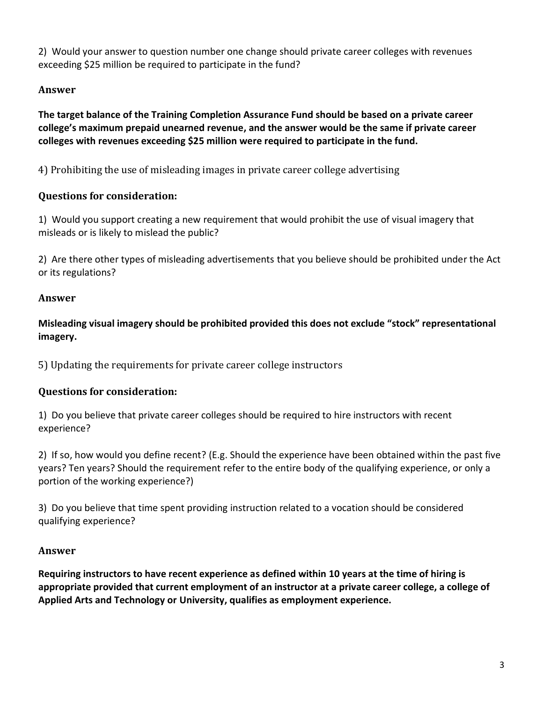2) Would your answer to question number one change should private career colleges with revenues exceeding \$25 million be required to participate in the fund?

# **Answer**

**The target balance of the Training Completion Assurance Fund should be based on a private career college's maximum prepaid unearned revenue, and the answer would be the same if private career colleges with revenues exceeding \$25 million were required to participate in the fund.**

4) Prohibiting the use of misleading images in private career college advertising

# **Questions for consideration:**

1) Would you support creating a new requirement that would prohibit the use of visual imagery that misleads or is likely to mislead the public?

2) Are there other types of misleading advertisements that you believe should be prohibited under the Act or its regulations?

# **Answer**

**Misleading visual imagery should be prohibited provided this does not exclude "stock" representational imagery.**

5) Updating the requirements for private career college instructors

# **Questions for consideration:**

1) Do you believe that private career colleges should be required to hire instructors with recent experience?

2) If so, how would you define recent? (E.g. Should the experience have been obtained within the past five years? Ten years? Should the requirement refer to the entire body of the qualifying experience, or only a portion of the working experience?)

3) Do you believe that time spent providing instruction related to a vocation should be considered qualifying experience?

# **Answer**

**Requiring instructors to have recent experience as defined within 10 years at the time of hiring is appropriate provided that current employment of an instructor at a private career college, a college of Applied Arts and Technology or University, qualifies as employment experience.**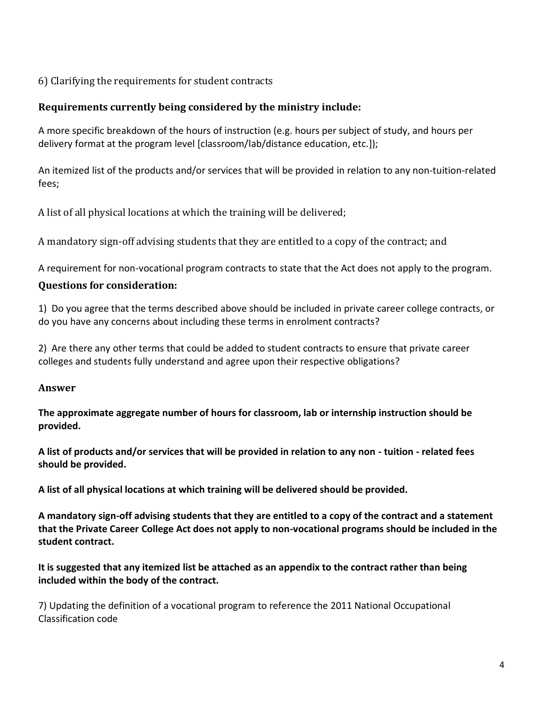6) Clarifying the requirements for student contracts

## **Requirements currently being considered by the ministry include:**

A more specific breakdown of the hours of instruction (e.g. hours per subject of study, and hours per delivery format at the program level [classroom/lab/distance education, etc.]);

An itemized list of the products and/or services that will be provided in relation to any non-tuition-related fees;

A list of all physical locations at which the training will be delivered;

A mandatory sign-off advising students that they are entitled to a copy of the contract; and

A requirement for non-vocational program contracts to state that the Act does not apply to the program.

## **Questions for consideration:**

1) Do you agree that the terms described above should be included in private career college contracts, or do you have any concerns about including these terms in enrolment contracts?

2) Are there any other terms that could be added to student contracts to ensure that private career colleges and students fully understand and agree upon their respective obligations?

### **Answer**

**The approximate aggregate number of hours for classroom, lab or internship instruction should be provided.**

**A list of products and/or services that will be provided in relation to any non - tuition - related fees should be provided.**

**A list of all physical locations at which training will be delivered should be provided.**

**A mandatory sign-off advising students that they are entitled to a copy of the contract and a statement that the Private Career College Act does not apply to non-vocational programs should be included in the student contract.**

**It is suggested that any itemized list be attached as an appendix to the contract rather than being included within the body of the contract.**

7) Updating the definition of a vocational program to reference the 2011 National Occupational Classification code